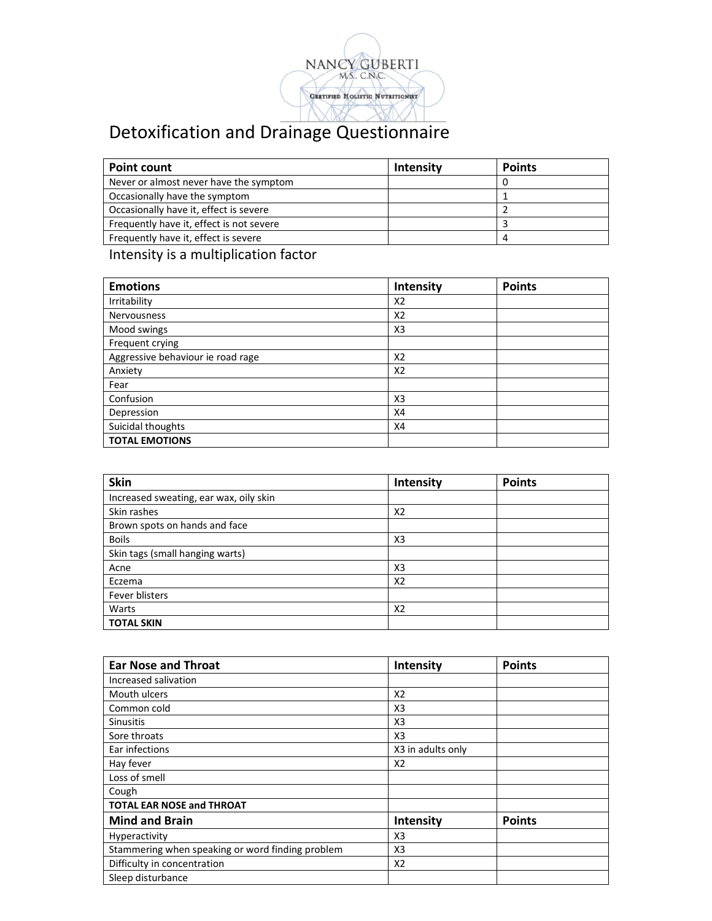

## Detoxification and Drainage Questionnaire

| <b>Point count</b>                       | <b>Intensity</b> | <b>Points</b> |
|------------------------------------------|------------------|---------------|
| Never or almost never have the symptom   |                  |               |
| Occasionally have the symptom            |                  |               |
| Occasionally have it, effect is severe   |                  |               |
| Frequently have it, effect is not severe |                  |               |
| Frequently have it, effect is severe     |                  |               |

## Intensity is a multiplication factor

| <b>Emotions</b>                   | Intensity      | <b>Points</b> |
|-----------------------------------|----------------|---------------|
| Irritability                      | X2             |               |
| <b>Nervousness</b>                | X <sub>2</sub> |               |
| Mood swings                       | X3             |               |
| Frequent crying                   |                |               |
| Aggressive behaviour ie road rage | X2             |               |
| Anxiety                           | X <sub>2</sub> |               |
| Fear                              |                |               |
| Confusion                         | X3             |               |
| Depression                        | X4             |               |
| Suicidal thoughts                 | X4             |               |
| <b>TOTAL EMOTIONS</b>             |                |               |

| <b>Skin</b>                            | Intensity      | <b>Points</b> |
|----------------------------------------|----------------|---------------|
| Increased sweating, ear wax, oily skin |                |               |
| Skin rashes                            | X <sub>2</sub> |               |
| Brown spots on hands and face          |                |               |
| <b>Boils</b>                           | X <sub>3</sub> |               |
| Skin tags (small hanging warts)        |                |               |
| Acne                                   | X <sub>3</sub> |               |
| Eczema                                 | X <sub>2</sub> |               |
| Fever blisters                         |                |               |
| Warts                                  | X <sub>2</sub> |               |
| <b>TOTAL SKIN</b>                      |                |               |

| <b>Ear Nose and Throat</b>                       | Intensity         | <b>Points</b> |
|--------------------------------------------------|-------------------|---------------|
| Increased salivation                             |                   |               |
| Mouth ulcers                                     | X2                |               |
| Common cold                                      | X <sub>3</sub>    |               |
| <b>Sinusitis</b>                                 | X <sub>3</sub>    |               |
| Sore throats                                     | X <sub>3</sub>    |               |
| Ear infections                                   | X3 in adults only |               |
| Hay fever                                        | X <sub>2</sub>    |               |
| Loss of smell                                    |                   |               |
| Cough                                            |                   |               |
| <b>TOTAL EAR NOSE and THROAT</b>                 |                   |               |
| <b>Mind and Brain</b>                            | Intensity         | <b>Points</b> |
| <b>Hyperactivity</b>                             | X <sub>3</sub>    |               |
| Stammering when speaking or word finding problem | X <sub>3</sub>    |               |
| Difficulty in concentration                      | X2                |               |
| Sleep disturbance                                |                   |               |